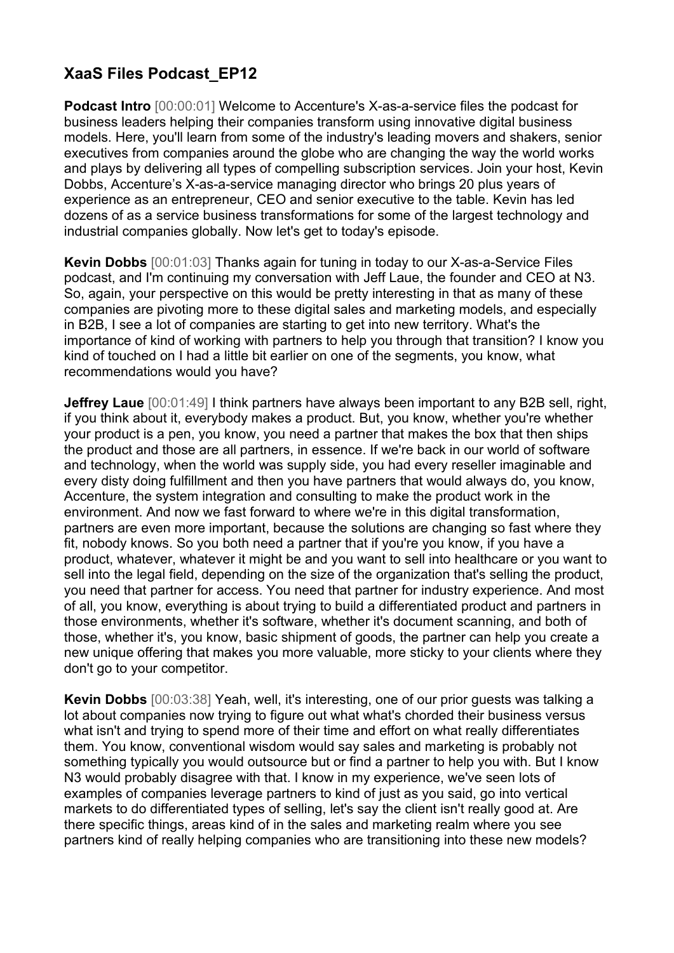## **XaaS Files Podcast\_EP12**

**Podcast Intro** [00:00:01] Welcome to Accenture's X-as-a-service files the podcast for business leaders helping their companies transform using innovative digital business models. Here, you'll learn from some of the industry's leading movers and shakers, senior executives from companies around the globe who are changing the way the world works and plays by delivering all types of compelling subscription services. Join your host, Kevin Dobbs, Accenture's X-as-a-service managing director who brings 20 plus years of experience as an entrepreneur, CEO and senior executive to the table. Kevin has led dozens of as a service business transformations for some of the largest technology and industrial companies globally. Now let's get to today's episode.

**Kevin Dobbs** [00:01:03] Thanks again for tuning in today to our X-as-a-Service Files podcast, and I'm continuing my conversation with Jeff Laue, the founder and CEO at N3. So, again, your perspective on this would be pretty interesting in that as many of these companies are pivoting more to these digital sales and marketing models, and especially in B2B, I see a lot of companies are starting to get into new territory. What's the importance of kind of working with partners to help you through that transition? I know you kind of touched on I had a little bit earlier on one of the segments, you know, what recommendations would you have?

**Jeffrey Laue**  $[00:01:49]$  I think partners have always been important to any B2B sell, right, if you think about it, everybody makes a product. But, you know, whether you're whether your product is a pen, you know, you need a partner that makes the box that then ships the product and those are all partners, in essence. If we're back in our world of software and technology, when the world was supply side, you had every reseller imaginable and every disty doing fulfillment and then you have partners that would always do, you know, Accenture, the system integration and consulting to make the product work in the environment. And now we fast forward to where we're in this digital transformation, partners are even more important, because the solutions are changing so fast where they fit, nobody knows. So you both need a partner that if you're you know, if you have a product, whatever, whatever it might be and you want to sell into healthcare or you want to sell into the legal field, depending on the size of the organization that's selling the product, you need that partner for access. You need that partner for industry experience. And most of all, you know, everything is about trying to build a differentiated product and partners in those environments, whether it's software, whether it's document scanning, and both of those, whether it's, you know, basic shipment of goods, the partner can help you create a new unique offering that makes you more valuable, more sticky to your clients where they don't go to your competitor.

**Kevin Dobbs** [00:03:38] Yeah, well, it's interesting, one of our prior guests was talking a lot about companies now trying to figure out what what's chorded their business versus what isn't and trying to spend more of their time and effort on what really differentiates them. You know, conventional wisdom would say sales and marketing is probably not something typically you would outsource but or find a partner to help you with. But I know N3 would probably disagree with that. I know in my experience, we've seen lots of examples of companies leverage partners to kind of just as you said, go into vertical markets to do differentiated types of selling, let's say the client isn't really good at. Are there specific things, areas kind of in the sales and marketing realm where you see partners kind of really helping companies who are transitioning into these new models?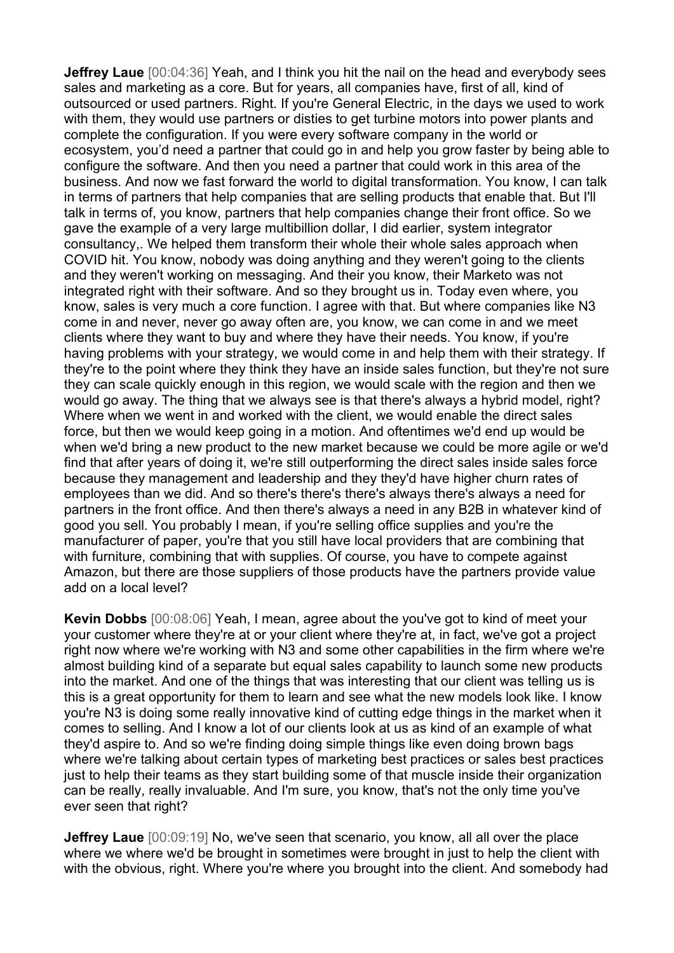**Jeffrey Laue** [00:04:36] Yeah, and I think you hit the nail on the head and everybody sees sales and marketing as a core. But for years, all companies have, first of all, kind of outsourced or used partners. Right. If you're General Electric, in the days we used to work with them, they would use partners or disties to get turbine motors into power plants and complete the configuration. If you were every software company in the world or ecosystem, you'd need a partner that could go in and help you grow faster by being able to configure the software. And then you need a partner that could work in this area of the business. And now we fast forward the world to digital transformation. You know, I can talk in terms of partners that help companies that are selling products that enable that. But I'll talk in terms of, you know, partners that help companies change their front office. So we gave the example of a very large multibillion dollar, I did earlier, system integrator consultancy,. We helped them transform their whole their whole sales approach when COVID hit. You know, nobody was doing anything and they weren't going to the clients and they weren't working on messaging. And their you know, their Marketo was not integrated right with their software. And so they brought us in. Today even where, you know, sales is very much a core function. I agree with that. But where companies like N3 come in and never, never go away often are, you know, we can come in and we meet clients where they want to buy and where they have their needs. You know, if you're having problems with your strategy, we would come in and help them with their strategy. If they're to the point where they think they have an inside sales function, but they're not sure they can scale quickly enough in this region, we would scale with the region and then we would go away. The thing that we always see is that there's always a hybrid model, right? Where when we went in and worked with the client, we would enable the direct sales force, but then we would keep going in a motion. And oftentimes we'd end up would be when we'd bring a new product to the new market because we could be more agile or we'd find that after years of doing it, we're still outperforming the direct sales inside sales force because they management and leadership and they they'd have higher churn rates of employees than we did. And so there's there's there's always there's always a need for partners in the front office. And then there's always a need in any B2B in whatever kind of good you sell. You probably I mean, if you're selling office supplies and you're the manufacturer of paper, you're that you still have local providers that are combining that with furniture, combining that with supplies. Of course, you have to compete against Amazon, but there are those suppliers of those products have the partners provide value add on a local level?

**Kevin Dobbs** [00:08:06] Yeah, I mean, agree about the you've got to kind of meet your your customer where they're at or your client where they're at, in fact, we've got a project right now where we're working with N3 and some other capabilities in the firm where we're almost building kind of a separate but equal sales capability to launch some new products into the market. And one of the things that was interesting that our client was telling us is this is a great opportunity for them to learn and see what the new models look like. I know you're N3 is doing some really innovative kind of cutting edge things in the market when it comes to selling. And I know a lot of our clients look at us as kind of an example of what they'd aspire to. And so we're finding doing simple things like even doing brown bags where we're talking about certain types of marketing best practices or sales best practices just to help their teams as they start building some of that muscle inside their organization can be really, really invaluable. And I'm sure, you know, that's not the only time you've ever seen that right?

**Jeffrey Laue** [00:09:19] No, we've seen that scenario, you know, all all over the place where we where we'd be brought in sometimes were brought in just to help the client with with the obvious, right. Where you're where you brought into the client. And somebody had